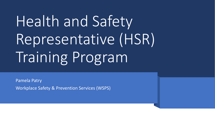# Health and Safety Representative (HSR) Training Program

Pamela Patry Workplace Safety & Prevention Services (WSPS)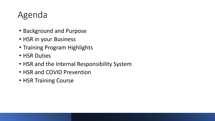# Agenda

- Background and Purpose
- HSR in your Business
- Training Program Highlights
- HSR Duties
- HSR and the Internal Responsibility System
- HSR and COVID Prevention
- HSR Training Course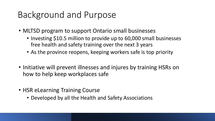# Background and Purpose

- MLTSD program to support Ontario small businesses
	- Investing \$10.5 million to provide up to 60,000 small businesses free health and safety training over the next 3 years
	- As the province reopens, keeping workers safe is top priority
- Initiative will prevent illnesses and injures by training HSRs on how to help keep workplaces safe
- HSR eLearning Training Course
	- Developed by all the Health and Safety Associations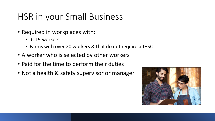## HSR in your Small Business

- Required in workplaces with:
	- 6-19 workers
	- Farms with over 20 workers & that do not require a JHSC
- A worker who is selected by other workers
- Paid for the time to perform their duties
- Not a health & safety supervisor or manager

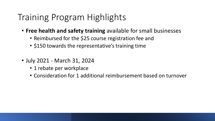## Training Program Highlights

- **Free health and safety training** available for small businesses
	- Reimbursed for the \$25 course registration fee and
	- \$150 towards the representative's training time
- July 2021 March 31, 2024
	- 1 rebate per workplace
	- Consideration for 1 additional reimbursement based on turnover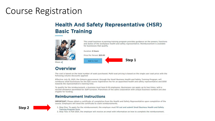#### **Course Registration**

#### **Health And Safety Representative (HSR) Basic Training**



This small business eLearning training program provides guidance on the powers, functions and duties of the workplace health and safety representative. Reimbursement is available for businesses that qualify.



Share  $\leq$ 

#### **Overview**

The cost is based on the total number of seats purchased. Multi-seat pricing is based on the single user seat price with the following volume discounts applied:

Effective July 15, 2021, the Ontario government, through the Small Business Health and Safety Training Program, will reimburse small businesses for the \$25 course registration fee for an appointed health and safety representative and \$150 towards the representative's training time.

To qualify for the reimbursement, a business must have 6-19 employees. Businesses can apply up to two times, with a second allowance permitted for staff turnover. Franchises of the same corporation with unique business numbers are also eligible for funding.

#### **Reimbursement Instructions**

IMPORTANT: Please obtain a certificate of completion from the Health and Safety Representative upon completion of the course. Employers will need the certificate to claim reimbursements.



- 1. Step One: To apply for the reimbursement, the employer must fill out and submit Small Business Health and Safety Training Program form.
- 2. Step Two: In Fall 2021, the employer will receive an email with information on how to complete the reimbursement.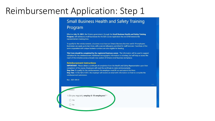#### Reimbursement Application: Step 1

#### **Small Business Health and Safety Training** Program

Effective July 15, 2021, the Ontario government, through the Small Business Health and Safety Training Program, will reimburse small businesses for the \$25 course registration fee and \$150 towards the representative's training time.

To qualify for the reimbursement, a business must have an Ontario Business Number and 6-19 employees. Businesses can apply up to two times, with a second allowance permitted for staff turnover. Franchises of the same corporation with unique business numbers are also eligible for funding.

This Form should be completed by the registered business owner. The information will be used to support validation for the reimbursement. Additional demographic information is voluntary, but will help us assess the reach of this initiative across a broad cross-section of Ontario small business workplaces.

#### **Reimbursement Instructions**

**IMPORTANT:** Please obtain a certificate of completion from the Health and Safety Representative upon their completion of the course. Employers will need the certificate to claim reimbursements. Step One: To qualify for the reimbursement, the employer must fill out and submit this form. Step Two: In the Fall of 2021, the employer will receive an email with information on how to complete the reimbursement submission.

 $\bullet$   $\bullet$   $\bullet$ 

Rev: 2021-09-01

1. Do you regularly employ 6-19 employees? \*  $\bigcirc$  Yes  $\bigcirc$  No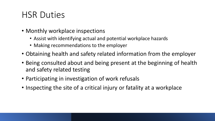# HSR Duties

- Monthly workplace inspections
	- Assist with identifying actual and potential workplace hazards
	- Making recommendations to the employer
- Obtaining health and safety related information from the employer
- Being consulted about and being present at the beginning of health and safety related testing
- Participating in investigation of work refusals
- Inspecting the site of a critical injury or fatality at a workplace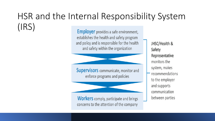#### HSR and the Internal Responsibility System  $(IRS)$ **Employer** provides a safe environment,

establishes the health and safety program and policy and is responsible for the health and safety within the organization

**Supervisors** communicate, monitor and enforce programs and policies

**Workers** comply, participate and brings concerns to the attention of the company

JHSC/Health & **Safety** Representative monitors the system, makes recommendations to the employer and supports communication between parties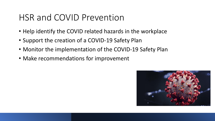### HSR and COVID Prevention

- Help identify the COVID related hazards in the workplace
- Support the creation of a COVID-19 Safety Plan
- Monitor the implementation of the COVID-19 Safety Plan
- Make recommendations for improvement

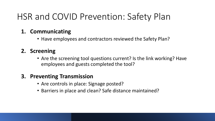# HSR and COVID Prevention: Safety Plan

#### **1. Communicating**

• Have employees and contractors reviewed the Safety Plan?

#### **2. Screening**

• Are the screening tool questions current? Is the link working? Have employees and guests completed the tool?

#### **3. Preventing Transmission**

- Are controls in place: Signage posted?
- Barriers in place and clean? Safe distance maintained?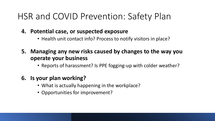# HSR and COVID Prevention: Safety Plan

- **4. Potential case, or suspected exposure**
	- Health unit contact info? Process to notify visitors in place?
- **5. Managing any new risks caused by changes to the way you operate your business**
	- Reports of harassment? Is PPE fogging-up with colder weather?

#### **6. Is your plan working?**

- What is actually happening in the workplace?
- Opportunities for improvement?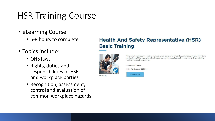# HSR Training Course

- eLearning Course
	- 6-8 hours to complete
- Topics include:
	- OHS laws
	- Rights, duties and responsibilities of HSR and workplace parties
	- Recognition, assessment, control and evaluation of common workplace hazards

#### **Health And Safety Representative (HSR) Basic Training**



Share  $\leq$ 

This small business eLearning training program provides guidance on the powers, functions and duties of the workplace health and safety representative. Reimbursement is available for businesses that qualify.

**Duration: 8 Hours** 

Price Per Person: \$25.00

Add to Cart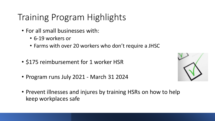# Training Program Highlights

- For all small businesses with:
	- 6-19 workers or
	- Farms with over 20 workers who don't require a JHSC
- \$175 reimbursement for 1 worker HSR
- Program runs July 2021 March 31 2024



• Prevent illnesses and injures by training HSRs on how to help keep workplaces safe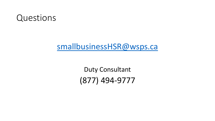

#### [smallbusinessHSR@wsps.ca](mailto:smallbusinessHSR@wsps.ca)

Duty Consultant (877) 494-9777